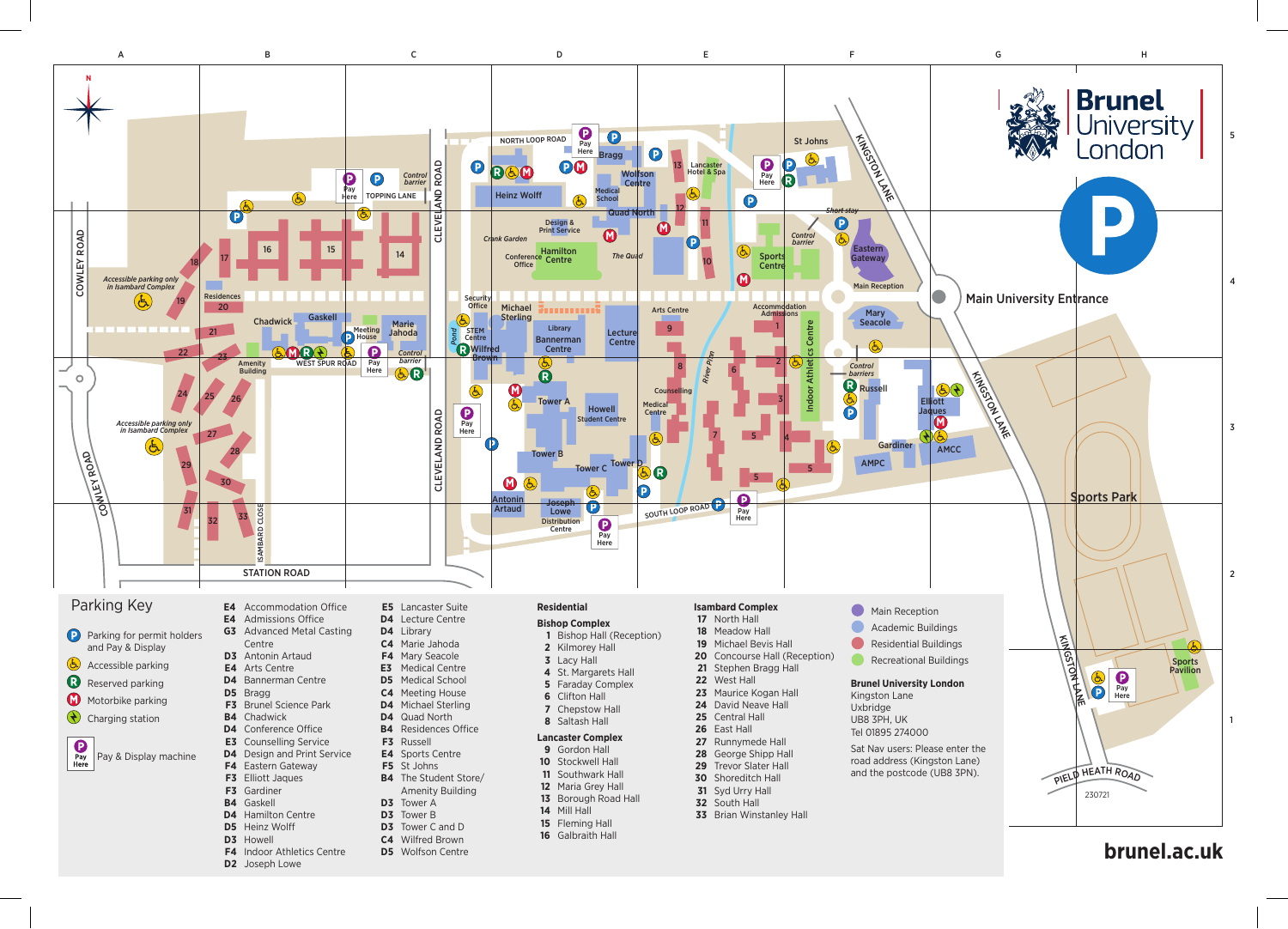